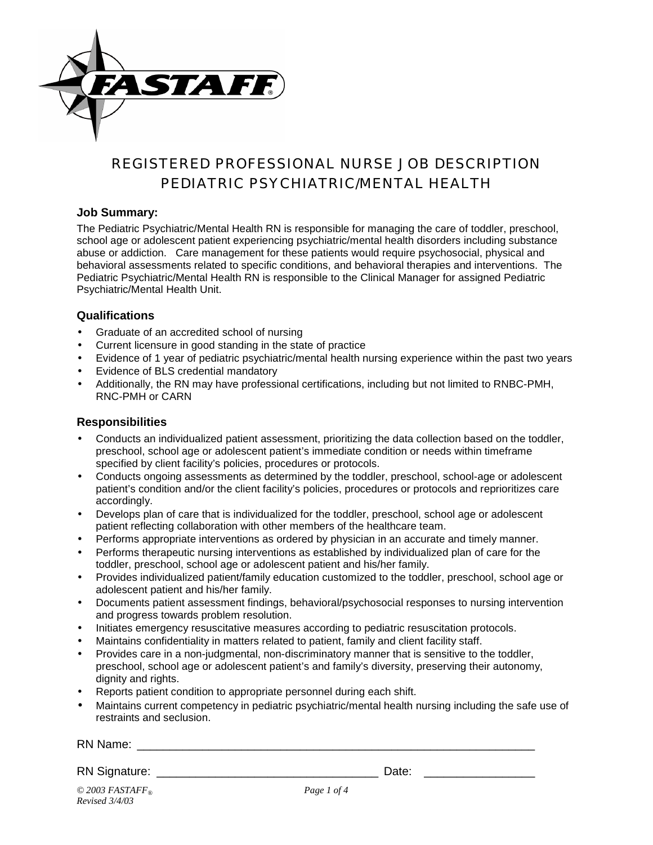

## REGISTERED PROFESSIONAL NURSE JOB DESCRIPTION *PEDIATRIC PSYCHIATRIC/MENTAL HEALTH*

#### **Job Summary:**

The Pediatric Psychiatric/Mental Health RN is responsible for managing the care of toddler, preschool, school age or adolescent patient experiencing psychiatric/mental health disorders including substance abuse or addiction. Care management for these patients would require psychosocial, physical and behavioral assessments related to specific conditions, and behavioral therapies and interventions. The Pediatric Psychiatric/Mental Health RN is responsible to the Clinical Manager for assigned Pediatric Psychiatric/Mental Health Unit.

#### **Qualifications**

- Graduate of an accredited school of nursing
- Current licensure in good standing in the state of practice
- Evidence of 1 year of pediatric psychiatric/mental health nursing experience within the past two years
- Evidence of BLS credential mandatory
- Additionally, the RN may have professional certifications, including but not limited to RNBC-PMH, RNC-PMH or CARN

#### **Responsibilities**

- Conducts an individualized patient assessment, prioritizing the data collection based on the toddler, preschool, school age or adolescent patient's immediate condition or needs within timeframe specified by client facility's policies, procedures or protocols.
- Conducts ongoing assessments as determined by the toddler, preschool, school-age or adolescent patient's condition and/or the client facility's policies, procedures or protocols and reprioritizes care accordingly.
- Develops plan of care that is individualized for the toddler, preschool, school age or adolescent patient reflecting collaboration with other members of the healthcare team.
- Performs appropriate interventions as ordered by physician in an accurate and timely manner.
- Performs therapeutic nursing interventions as established by individualized plan of care for the toddler, preschool, school age or adolescent patient and his/her family.
- Provides individualized patient/family education customized to the toddler, preschool, school age or adolescent patient and his/her family.
- Documents patient assessment findings, behavioral/psychosocial responses to nursing intervention and progress towards problem resolution.
- Initiates emergency resuscitative measures according to pediatric resuscitation protocols.
- Maintains confidentiality in matters related to patient, family and client facility staff.
- Provides care in a non-judgmental, non-discriminatory manner that is sensitive to the toddler, preschool, school age or adolescent patient's and family's diversity, preserving their autonomy, dignity and rights.
- Reports patient condition to appropriate personnel during each shift.
- Maintains current competency in pediatric psychiatric/mental health nursing including the safe use of restraints and seclusion.

| RN Name: |  |
|----------|--|
|          |  |

RN Signature: \_\_\_\_\_\_\_\_\_\_\_\_\_\_\_\_\_\_\_\_\_\_\_\_\_\_\_\_\_\_\_\_\_\_ Date: \_\_\_\_\_\_\_\_\_\_\_\_\_\_\_\_\_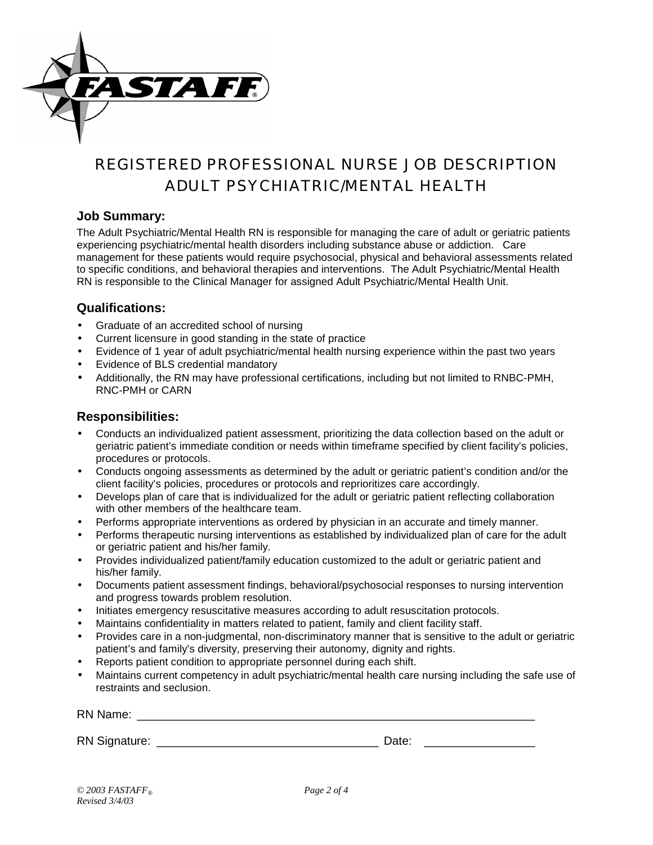

# REGISTERED PROFESSIONAL NURSE JOB DESCRIPTION *ADULT PSYCHIATRIC/MENTAL HEALTH*

#### **Job Summary:**

The Adult Psychiatric/Mental Health RN is responsible for managing the care of adult or geriatric patients experiencing psychiatric/mental health disorders including substance abuse or addiction. Care management for these patients would require psychosocial, physical and behavioral assessments related to specific conditions, and behavioral therapies and interventions. The Adult Psychiatric/Mental Health RN is responsible to the Clinical Manager for assigned Adult Psychiatric/Mental Health Unit.

### **Qualifications:**

- Graduate of an accredited school of nursing
- Current licensure in good standing in the state of practice
- Evidence of 1 year of adult psychiatric/mental health nursing experience within the past two years
- Evidence of BLS credential mandatory
- Additionally, the RN may have professional certifications, including but not limited to RNBC-PMH, RNC-PMH or CARN

### **Responsibilities:**

- Conducts an individualized patient assessment, prioritizing the data collection based on the adult or geriatric patient's immediate condition or needs within timeframe specified by client facility's policies, procedures or protocols.
- Conducts ongoing assessments as determined by the adult or geriatric patient's condition and/or the client facility's policies, procedures or protocols and reprioritizes care accordingly.
- Develops plan of care that is individualized for the adult or geriatric patient reflecting collaboration with other members of the healthcare team.
- Performs appropriate interventions as ordered by physician in an accurate and timely manner.
- Performs therapeutic nursing interventions as established by individualized plan of care for the adult or geriatric patient and his/her family.
- Provides individualized patient/family education customized to the adult or geriatric patient and his/her family.
- Documents patient assessment findings, behavioral/psychosocial responses to nursing intervention and progress towards problem resolution.
- Initiates emergency resuscitative measures according to adult resuscitation protocols.
- Maintains confidentiality in matters related to patient, family and client facility staff.
- Provides care in a non-judgmental, non-discriminatory manner that is sensitive to the adult or geriatric patient's and family's diversity, preserving their autonomy, dignity and rights.
- Reports patient condition to appropriate personnel during each shift.
- Maintains current competency in adult psychiatric/mental health care nursing including the safe use of restraints and seclusion.

| RN Name:             |       |  |
|----------------------|-------|--|
|                      |       |  |
| <b>RN Signature:</b> | Date: |  |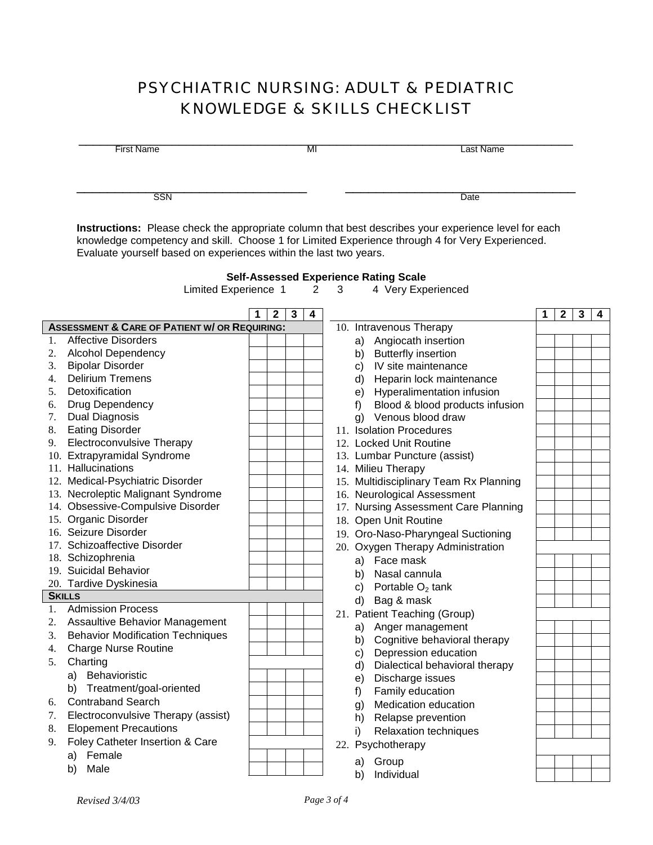## PSYCHIATRIC NURSING: ADULT & PEDIATRIC KNOWLEDGE & SKILLS CHECKLIST

| <b>First Name</b> |                                                                                                                                                                                                                                                                                                      |  |              | MI |                |     |    |                                                                    |   |              |   |   |
|-------------------|------------------------------------------------------------------------------------------------------------------------------------------------------------------------------------------------------------------------------------------------------------------------------------------------------|--|--------------|----|----------------|-----|----|--------------------------------------------------------------------|---|--------------|---|---|
|                   | <b>SSN</b>                                                                                                                                                                                                                                                                                           |  |              |    |                |     |    | Date                                                               |   |              |   |   |
|                   | Instructions: Please check the appropriate column that best describes your experience level for each<br>knowledge competency and skill. Choose 1 for Limited Experience through 4 for Very Experienced.<br>Evaluate yourself based on experiences within the last two years.<br>Limited Experience 1 |  |              |    | $\overline{2}$ | 3   |    | <b>Self-Assessed Experience Rating Scale</b><br>4 Very Experienced |   |              |   |   |
|                   |                                                                                                                                                                                                                                                                                                      |  | $\mathbf{2}$ | 3  | 4              |     |    |                                                                    | 1 | $\mathbf{2}$ | 3 | 4 |
|                   | <b>ASSESSMENT &amp; CARE OF PATIENT W/ OR REQUIRING:</b>                                                                                                                                                                                                                                             |  |              |    |                |     |    | 10. Intravenous Therapy                                            |   |              |   |   |
| 1.                | <b>Affective Disorders</b>                                                                                                                                                                                                                                                                           |  |              |    |                |     | a) | Angiocath insertion                                                |   |              |   |   |
|                   | 2. Alcohol Dependency                                                                                                                                                                                                                                                                                |  |              |    |                |     | b) | <b>Butterfly insertion</b>                                         |   |              |   |   |
|                   | 3. Bipolar Disorder                                                                                                                                                                                                                                                                                  |  |              |    |                |     | C) | IV site maintenance                                                |   |              |   |   |
|                   | 4. Delirium Tremens                                                                                                                                                                                                                                                                                  |  |              |    |                |     | d) | Heparin lock maintenance                                           |   |              |   |   |
| 5.                | Detoxification                                                                                                                                                                                                                                                                                       |  |              |    |                |     | e) | Hyperalimentation infusion                                         |   |              |   |   |
| 6.                | Drug Dependency                                                                                                                                                                                                                                                                                      |  |              |    |                |     | f) | Blood & blood products infusion                                    |   |              |   |   |
| 7.                | <b>Dual Diagnosis</b>                                                                                                                                                                                                                                                                                |  |              |    |                |     |    | g) Venous blood draw                                               |   |              |   |   |
| 8.                | <b>Eating Disorder</b>                                                                                                                                                                                                                                                                               |  |              |    |                |     |    | 11. Isolation Procedures                                           |   |              |   |   |
| 9.                | <b>Electroconvulsive Therapy</b>                                                                                                                                                                                                                                                                     |  |              |    |                |     |    | 12. Locked Unit Routine                                            |   |              |   |   |
|                   | 10. Extrapyramidal Syndrome                                                                                                                                                                                                                                                                          |  |              |    |                |     |    | 13. Lumbar Puncture (assist)                                       |   |              |   |   |
|                   | 11. Hallucinations                                                                                                                                                                                                                                                                                   |  |              |    |                |     |    | 14. Milieu Therapy                                                 |   |              |   |   |
|                   | 12. Medical-Psychiatric Disorder                                                                                                                                                                                                                                                                     |  |              |    |                |     |    | 15. Multidisciplinary Team Rx Planning                             |   |              |   |   |
|                   | 13. Necroleptic Malignant Syndrome                                                                                                                                                                                                                                                                   |  |              |    |                |     |    | 16. Neurological Assessment                                        |   |              |   |   |
|                   | 14. Obsessive-Compulsive Disorder                                                                                                                                                                                                                                                                    |  |              |    |                |     |    | 17. Nursing Assessment Care Planning                               |   |              |   |   |
|                   | 15. Organic Disorder                                                                                                                                                                                                                                                                                 |  |              |    |                |     |    | 18. Open Unit Routine                                              |   |              |   |   |
|                   | 16. Seizure Disorder                                                                                                                                                                                                                                                                                 |  |              |    |                |     |    | 19. Oro-Naso-Pharyngeal Suctioning                                 |   |              |   |   |
|                   | 17. Schizoaffective Disorder                                                                                                                                                                                                                                                                         |  |              |    |                |     |    |                                                                    |   |              |   |   |
|                   | 18. Schizophrenia                                                                                                                                                                                                                                                                                    |  |              |    |                |     |    | 20. Oxygen Therapy Administration                                  |   |              |   |   |
|                   | 19. Suicidal Behavior                                                                                                                                                                                                                                                                                |  |              |    |                |     |    | a) Face mask                                                       |   |              |   |   |
|                   | 20. Tardive Dyskinesia                                                                                                                                                                                                                                                                               |  |              |    |                |     | b) | Nasal cannula                                                      |   |              |   |   |
|                   | <b>SKILLS</b>                                                                                                                                                                                                                                                                                        |  |              |    |                |     | C) | Portable $O2$ tank                                                 |   |              |   |   |
|                   | <b>Admission Process</b>                                                                                                                                                                                                                                                                             |  |              |    |                |     | d) | Bag & mask                                                         |   |              |   |   |
|                   | <b>Assaultive Behavior Management</b>                                                                                                                                                                                                                                                                |  |              |    |                |     |    | 21. Patient Teaching (Group)                                       |   |              |   |   |
| 2.                |                                                                                                                                                                                                                                                                                                      |  |              |    |                |     | a) | Anger management                                                   |   |              |   |   |
| 3.                | <b>Behavior Modification Techniques</b>                                                                                                                                                                                                                                                              |  |              |    |                |     | b) | Cognitive behavioral therapy                                       |   |              |   |   |
| 4.                | <b>Charge Nurse Routine</b>                                                                                                                                                                                                                                                                          |  |              |    |                |     | C) | Depression education                                               |   |              |   |   |
| 5.                | Charting                                                                                                                                                                                                                                                                                             |  |              |    |                |     | d) | Dialectical behavioral therapy                                     |   |              |   |   |
|                   | a) Behavioristic                                                                                                                                                                                                                                                                                     |  |              |    |                |     | e) | Discharge issues                                                   |   |              |   |   |
|                   | Treatment/goal-oriented<br>b)                                                                                                                                                                                                                                                                        |  |              |    |                |     | f) | Family education                                                   |   |              |   |   |
| 6.                | <b>Contraband Search</b>                                                                                                                                                                                                                                                                             |  |              |    |                |     | g) | Medication education                                               |   |              |   |   |
| 7.                | Electroconvulsive Therapy (assist)                                                                                                                                                                                                                                                                   |  |              |    |                |     | h) | Relapse prevention                                                 |   |              |   |   |
| 8.                | <b>Elopement Precautions</b>                                                                                                                                                                                                                                                                         |  |              |    |                |     | i) | Relaxation techniques                                              |   |              |   |   |
| 9.                | Foley Catheter Insertion & Care                                                                                                                                                                                                                                                                      |  |              |    |                | 22. |    | Psychotherapy                                                      |   |              |   |   |
|                   | Female<br>a)                                                                                                                                                                                                                                                                                         |  |              |    |                |     |    |                                                                    |   |              |   |   |
|                   | Male<br>b)                                                                                                                                                                                                                                                                                           |  |              |    |                |     | a) | Group                                                              |   |              |   |   |
|                   |                                                                                                                                                                                                                                                                                                      |  |              |    |                |     | b) | Individual                                                         |   |              |   |   |